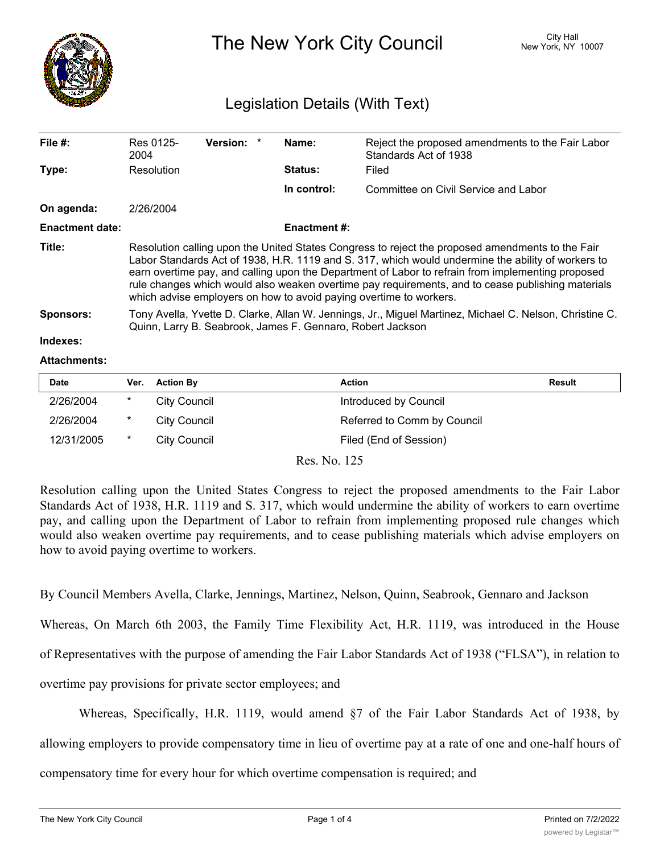

The New York City Council New York, NY 10007

## Legislation Details (With Text)

| File #:                | Res 0125-<br>2004                                                                                                                                                                                                                                                                                                                                                                                                                                                                      | Version: * |  | Name:               | Reject the proposed amendments to the Fair Labor<br>Standards Act of 1938 |  |  |
|------------------------|----------------------------------------------------------------------------------------------------------------------------------------------------------------------------------------------------------------------------------------------------------------------------------------------------------------------------------------------------------------------------------------------------------------------------------------------------------------------------------------|------------|--|---------------------|---------------------------------------------------------------------------|--|--|
| Type:                  | Resolution                                                                                                                                                                                                                                                                                                                                                                                                                                                                             |            |  | <b>Status:</b>      | Filed                                                                     |  |  |
|                        |                                                                                                                                                                                                                                                                                                                                                                                                                                                                                        |            |  | In control:         | Committee on Civil Service and Labor                                      |  |  |
| On agenda:             | 2/26/2004                                                                                                                                                                                                                                                                                                                                                                                                                                                                              |            |  |                     |                                                                           |  |  |
| <b>Enactment date:</b> |                                                                                                                                                                                                                                                                                                                                                                                                                                                                                        |            |  | <b>Enactment #:</b> |                                                                           |  |  |
| Title:                 | Resolution calling upon the United States Congress to reject the proposed amendments to the Fair<br>Labor Standards Act of 1938, H.R. 1119 and S. 317, which would undermine the ability of workers to<br>earn overtime pay, and calling upon the Department of Labor to refrain from implementing proposed<br>rule changes which would also weaken overtime pay requirements, and to cease publishing materials<br>which advise employers on how to avoid paying overtime to workers. |            |  |                     |                                                                           |  |  |
| <b>Sponsors:</b>       | Tony Avella, Yvette D. Clarke, Allan W. Jennings, Jr., Miguel Martinez, Michael C. Nelson, Christine C.<br>Quinn, Larry B. Seabrook, James F. Gennaro, Robert Jackson                                                                                                                                                                                                                                                                                                                  |            |  |                     |                                                                           |  |  |
| Indexes:               |                                                                                                                                                                                                                                                                                                                                                                                                                                                                                        |            |  |                     |                                                                           |  |  |

## **Attachments:**

| <b>Date</b> | Ver.     | <b>Action By</b> | Action                      | <b>Result</b> |
|-------------|----------|------------------|-----------------------------|---------------|
| 2/26/2004   | *        | City Council     | Introduced by Council       |               |
| 2/26/2004   | $^\star$ | City Council     | Referred to Comm by Council |               |
| 12/31/2005  | *        | City Council     | Filed (End of Session)      |               |

Res. No. 125

Resolution calling upon the United States Congress to reject the proposed amendments to the Fair Labor Standards Act of 1938, H.R. 1119 and S. 317, which would undermine the ability of workers to earn overtime pay, and calling upon the Department of Labor to refrain from implementing proposed rule changes which would also weaken overtime pay requirements, and to cease publishing materials which advise employers on how to avoid paying overtime to workers.

By Council Members Avella, Clarke, Jennings, Martinez, Nelson, Quinn, Seabrook, Gennaro and Jackson

Whereas, On March 6th 2003, the Family Time Flexibility Act, H.R. 1119, was introduced in the House of Representatives with the purpose of amending the Fair Labor Standards Act of 1938 ("FLSA"), in relation to overtime pay provisions for private sector employees; and

Whereas, Specifically, H.R. 1119, would amend §7 of the Fair Labor Standards Act of 1938, by allowing employers to provide compensatory time in lieu of overtime pay at a rate of one and one-half hours of compensatory time for every hour for which overtime compensation is required; and

Whereas, On February 2, 2002, similar legislation was also introduced in the Senate, S. 317, but no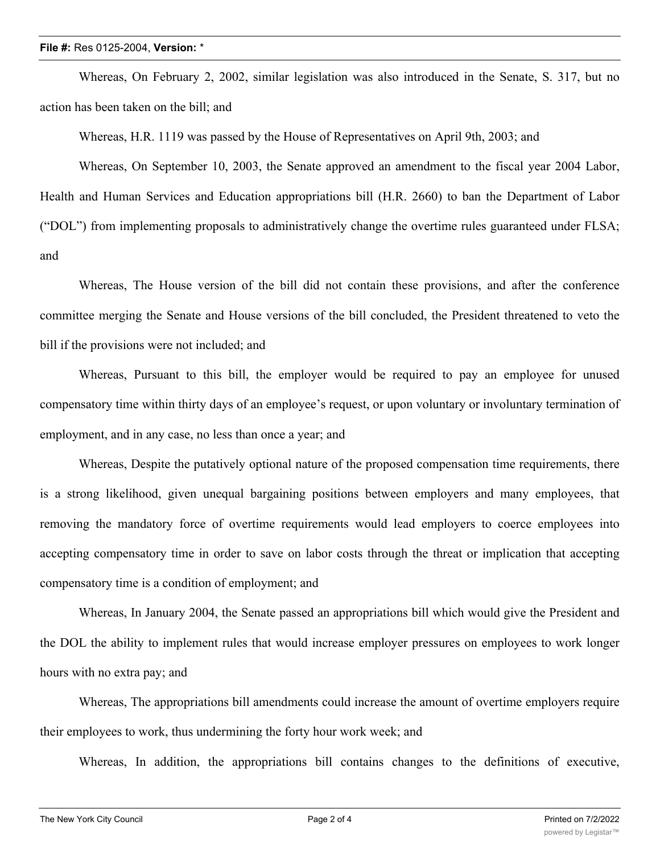Whereas, On February 2, 2002, similar legislation was also introduced in the Senate, S. 317, but no action has been taken on the bill; and

Whereas, H.R. 1119 was passed by the House of Representatives on April 9th, 2003; and

Whereas, On September 10, 2003, the Senate approved an amendment to the fiscal year 2004 Labor, Health and Human Services and Education appropriations bill (H.R. 2660) to ban the Department of Labor ("DOL") from implementing proposals to administratively change the overtime rules guaranteed under FLSA; and

Whereas, The House version of the bill did not contain these provisions, and after the conference committee merging the Senate and House versions of the bill concluded, the President threatened to veto the bill if the provisions were not included; and

Whereas, Pursuant to this bill, the employer would be required to pay an employee for unused compensatory time within thirty days of an employee's request, or upon voluntary or involuntary termination of employment, and in any case, no less than once a year; and

Whereas, Despite the putatively optional nature of the proposed compensation time requirements, there is a strong likelihood, given unequal bargaining positions between employers and many employees, that removing the mandatory force of overtime requirements would lead employers to coerce employees into accepting compensatory time in order to save on labor costs through the threat or implication that accepting compensatory time is a condition of employment; and

Whereas, In January 2004, the Senate passed an appropriations bill which would give the President and the DOL the ability to implement rules that would increase employer pressures on employees to work longer hours with no extra pay; and

Whereas, The appropriations bill amendments could increase the amount of overtime employers require their employees to work, thus undermining the forty hour work week; and

Whereas, In addition, the appropriations bill contains changes to the definitions of executive,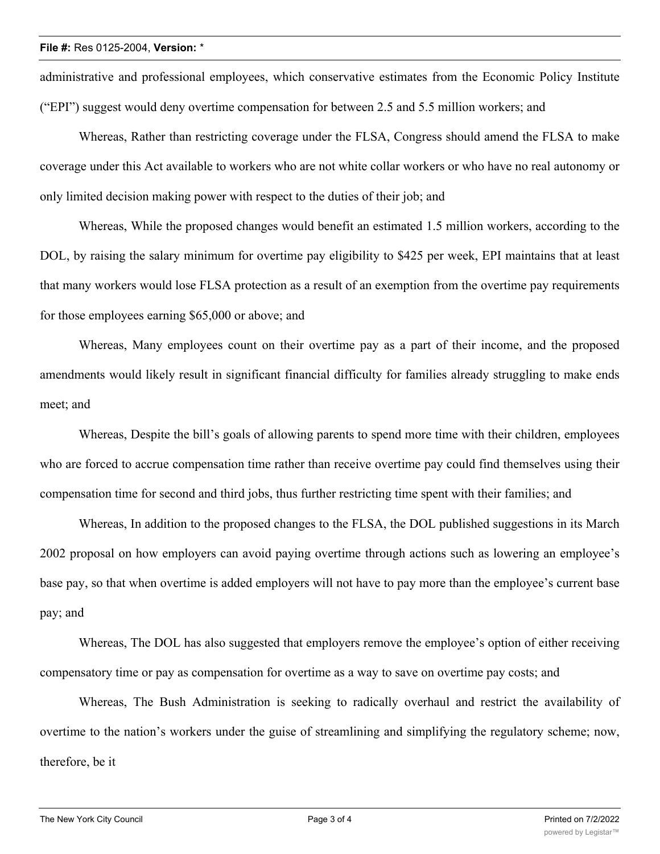administrative and professional employees, which conservative estimates from the Economic Policy Institute ("EPI") suggest would deny overtime compensation for between 2.5 and 5.5 million workers; and

Whereas, Rather than restricting coverage under the FLSA, Congress should amend the FLSA to make coverage under this Act available to workers who are not white collar workers or who have no real autonomy or only limited decision making power with respect to the duties of their job; and

Whereas, While the proposed changes would benefit an estimated 1.5 million workers, according to the DOL, by raising the salary minimum for overtime pay eligibility to \$425 per week, EPI maintains that at least that many workers would lose FLSA protection as a result of an exemption from the overtime pay requirements for those employees earning \$65,000 or above; and

Whereas, Many employees count on their overtime pay as a part of their income, and the proposed amendments would likely result in significant financial difficulty for families already struggling to make ends meet; and

Whereas, Despite the bill's goals of allowing parents to spend more time with their children, employees who are forced to accrue compensation time rather than receive overtime pay could find themselves using their compensation time for second and third jobs, thus further restricting time spent with their families; and

Whereas, In addition to the proposed changes to the FLSA, the DOL published suggestions in its March 2002 proposal on how employers can avoid paying overtime through actions such as lowering an employee's base pay, so that when overtime is added employers will not have to pay more than the employee's current base pay; and

Whereas, The DOL has also suggested that employers remove the employee's option of either receiving compensatory time or pay as compensation for overtime as a way to save on overtime pay costs; and

Whereas, The Bush Administration is seeking to radically overhaul and restrict the availability of overtime to the nation's workers under the guise of streamlining and simplifying the regulatory scheme; now, therefore, be it